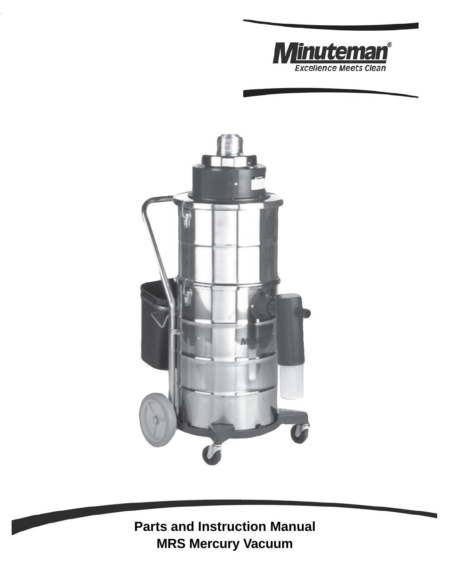



**Parts and Instruction Manual MRS Mercury Vacuum**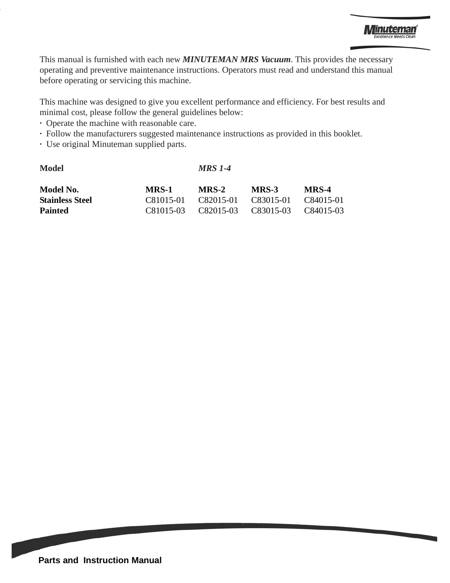This manual is furnished with each new *MINUTEMAN MRS Vacuum*. This provides the necessary operating and preventive maintenance instructions. Operators must read and understand this manual before operating or servicing this machine.

This machine was designed to give you excellent performance and efficiency. For best results and minimal cost, please follow the general guidelines below:

- **·** Operate the machine with reasonable care.
- **·** Follow the manufacturers suggested maintenance instructions as provided in this booklet.
- **·** Use original Minuteman supplied parts.

| Model                  | <b>MRS</b> 1-4 |           |           |           |
|------------------------|----------------|-----------|-----------|-----------|
| Model No.              | MRS-1          | MRS-2     | MRS-3     | MRS-4     |
| <b>Stainless Steel</b> | C81015-01      | C82015-01 | C83015-01 | C84015-01 |
| <b>Painted</b>         | C81015-03      | C82015-03 | C83015-03 | C84015-03 |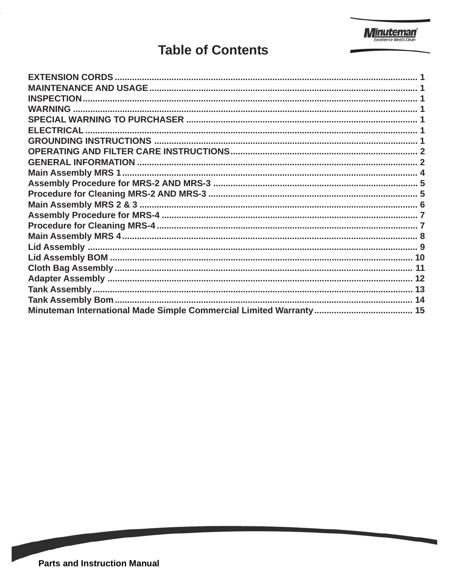

# **Table of Contents**

| <b>INSPECTION</b> |  |
|-------------------|--|
|                   |  |
|                   |  |
| <b>ELECTRICAL</b> |  |
|                   |  |
|                   |  |
|                   |  |
|                   |  |
|                   |  |
|                   |  |
|                   |  |
|                   |  |
|                   |  |
|                   |  |
|                   |  |
|                   |  |
|                   |  |
|                   |  |
|                   |  |
|                   |  |
|                   |  |

**Contract Contract Contract Contract Contract Contract Contract Contract Contract Contract Contract Contract Co**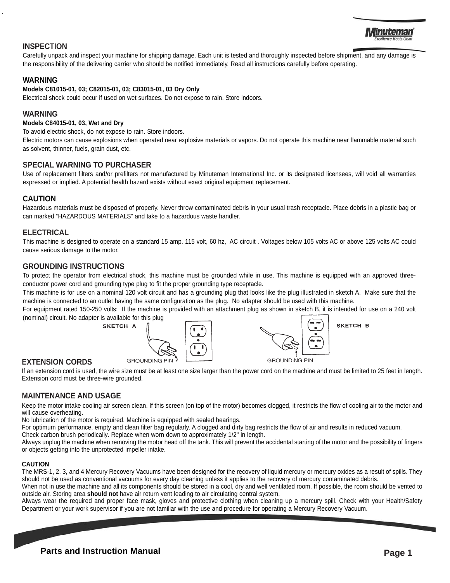## **INSPECTION**

Carefully unpack and inspect your machine for shipping damage. Each unit is tested and thoroughly inspected before shipment, and any damage is the responsibility of the delivering carrier who should be notified immediately. Read all instructions carefully before operating.

## **WARNING**

#### **Models C81015-01, 03; C82015-01, 03; C83015-01, 03 Dry Only**

Electrical shock could occur if used on wet surfaces. Do not expose to rain. Store indoors.

#### **WARNING**

#### **Models C84015-01, 03, Wet and Dry**

To avoid electric shock, do not expose to rain. Store indoors.

Electric motors can cause explosions when operated near explosive materials or vapors. Do not operate this machine near flammable material such as solvent, thinner, fuels, grain dust, etc.

#### **SPECIAL WARNING TO PURCHASER**

Use of replacement filters and/or prefilters not manufactured by Minuteman International Inc. or its designated licensees, will void all warranties expressed or implied. A potential health hazard exists without exact original equipment replacement.

## **CAUTION**

Hazardous materials must be disposed of properly. Never throw contaminated debris in your usual trash receptacle. Place debris in a plastic bag or can marked "HAZARDOUS MATERIALS" and take to a hazardous waste handler.

## **ELECTRICAL**

This machine is designed to operate on a standard 15 amp. 115 volt, 60 hz, AC circuit . Voltages below 105 volts AC or above 125 volts AC could cause serious damage to the motor.

## **GROUNDING INSTRUCTIONS**

To protect the operator from electrical shock, this machine must be grounded while in use. This machine is equipped with an approved threeconductor power cord and grounding type plug to fit the proper grounding type receptacle.

This machine is for use on a nominal 120 volt circuit and has a grounding plug that looks like the plug illustrated in sketch A. Make sure that the machine is connected to an outlet having the same configuration as the plug. No adapter should be used with this machine.

For equipment rated 150-250 volts: If the machine is provided with an attachment plug as shown in sketch B, it is intended for use on a 240 volt (nominal) circuit. No adapter is available for this plug

SKETCH A





## **EXTENSION CORDS**

If an extension cord is used, the wire size must be at least one size larger than the power cord on the machine and must be limited to 25 feet in length. Extension cord must be three-wire grounded.

## **MAINTENANCE AND USAGE**

Keep the motor intake cooling air screen clean. If this screen (on top of the motor) becomes clogged, it restricts the flow of cooling air to the motor and will cause overheating.

No lubrication of the motor is required. Machine is equipped with sealed bearings.

For optimum performance, empty and clean filter bag regularly. A clogged and dirty bag restricts the flow of air and results in reduced vacuum.

Check carbon brush periodically. Replace when worn down to approximately 1/2" in length.

Always unplug the machine when removing the motor head off the tank. This will prevent the accidental starting of the motor and the possibility of fingers or objects getting into the unprotected impeller intake.

#### **CAUTION**

The MRS-1, 2, 3, and 4 Mercury Recovery Vacuums have been designed for the recovery of liquid mercury or mercury oxides as a result of spills. They should not be used as conventional vacuums for every day cleaning unless it applies to the recovery of mercury contaminated debris.

When not in use the machine and all its components should be stored in a cool, dry and well ventilated room. If possible, the room should be vented to outside air. Storing area **should not** have air return vent leading to air circulating central system.

Always wear the required and proper face mask, gloves and protective clothing when cleaning up a mercury spill. Check with your Health/Safety Department or your work supervisor if you are not familiar with the use and procedure for operating a Mercury Recovery Vacuum.

**Parts and Instruction Manual Page 1 Page 1**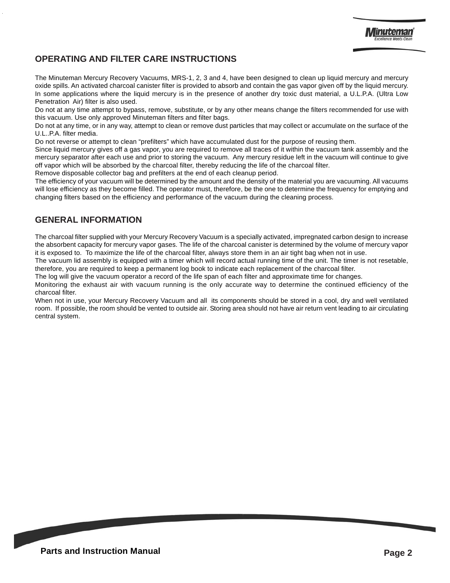# **OPERATING AND FILTER CARE INSTRUCTIONS**

The Minuteman Mercury Recovery Vacuums, MRS-1, 2, 3 and 4, have been designed to clean up liquid mercury and mercury oxide spills. An activated charcoal canister filter is provided to absorb and contain the gas vapor given off by the liquid mercury. In some applications where the liquid mercury is in the presence of another dry toxic dust material, a U.L.P.A. (Ultra Low Penetration Air) filter is also used.

Do not at any time attempt to bypass, remove, substitute, or by any other means change the filters recommended for use with this vacuum. Use only approved Minuteman filters and filter bags.

Do not at any time, or in any way, attempt to clean or remove dust particles that may collect or accumulate on the surface of the U.L..P.A. filter media.

Do not reverse or attempt to clean "prefilters" which have accumulated dust for the purpose of reusing them.

Since liquid mercury gives off a gas vapor, you are required to remove all traces of it within the vacuum tank assembly and the mercury separator after each use and prior to storing the vacuum. Any mercury residue left in the vacuum will continue to give off vapor which will be absorbed by the charcoal filter, thereby reducing the life of the charcoal filter.

Remove disposable collector bag and prefilters at the end of each cleanup period.

The efficiency of your vacuum will be determined by the amount and the density of the material you are vacuuming. All vacuums will lose efficiency as they become filled. The operator must, therefore, be the one to determine the frequency for emptying and changing filters based on the efficiency and performance of the vacuum during the cleaning process.

# **GENERAL INFORMATION**

The charcoal filter supplied with your Mercury Recovery Vacuum is a specially activated, impregnated carbon design to increase the absorbent capacity for mercury vapor gases. The life of the charcoal canister is determined by the volume of mercury vapor it is exposed to. To maximize the life of the charcoal filter, always store them in an air tight bag when not in use.

The vacuum lid assembly is equipped with a timer which will record actual running time of the unit. The timer is not resetable, therefore, you are required to keep a permanent log book to indicate each replacement of the charcoal filter.

The log will give the vacuum operator a record of the life span of each filter and approximate time for changes.

Monitoring the exhaust air with vacuum running is the only accurate way to determine the continued efficiency of the charcoal filter.

When not in use, your Mercury Recovery Vacuum and all its components should be stored in a cool, dry and well ventilated room. If possible, the room should be vented to outside air. Storing area should not have air return vent leading to air circulating central system.

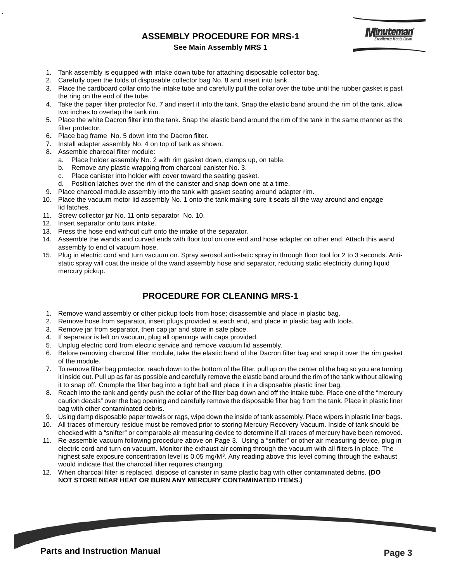# **ASSEMBLY PROCEDURE FOR MRS-1**



#### **See Main Assembly MRS 1**

- 1. Tank assembly is equipped with intake down tube for attaching disposable collector bag.
- 2. Carefully open the folds of disposable collector bag No. 8 and insert into tank.
- 3. Place the cardboard collar onto the intake tube and carefully pull the collar over the tube until the rubber gasket is past the ring on the end of the tube.
- 4. Take the paper filter protector No. 7 and insert it into the tank. Snap the elastic band around the rim of the tank. allow two inches to overlap the tank rim.
- 5. Place the white Dacron filter into the tank. Snap the elastic band around the rim of the tank in the same manner as the filter protector.
- 6. Place bag frame No. 5 down into the Dacron filter.
- 7. Install adapter assembly No. 4 on top of tank as shown.
- 8. Assemble charcoal filter module:
	- a. Place holder assembly No. 2 with rim gasket down, clamps up, on table.
	- b. Remove any plastic wrapping from charcoal canister No. 3.
	- c. Place canister into holder with cover toward the seating gasket.
	- d. Position latches over the rim of the canister and snap down one at a time.
- 9. Place charcoal module assembly into the tank with gasket seating around adapter rim.
- 10. Place the vacuum motor lid assembly No. 1 onto the tank making sure it seats all the way around and engage lid latches.
- 11. Screw collector jar No. 11 onto separator No. 10.
- 12. Insert separator onto tank intake.
- 13. Press the hose end without cuff onto the intake of the separator.
- 14. Assemble the wands and curved ends with floor tool on one end and hose adapter on other end. Attach this wand assembly to end of vacuum hose.
- 15. Plug in electric cord and turn vacuum on. Spray aerosol anti-static spray in through floor tool for 2 to 3 seconds. Antistatic spray will coat the inside of the wand assembly hose and separator, reducing static electricity during liquid mercury pickup.

# **PROCEDURE FOR CLEANING MRS-1**

- 1. Remove wand assembly or other pickup tools from hose; disassemble and place in plastic bag.
- 2. Remove hose from separator, insert plugs provided at each end, and place in plastic bag with tools.
- 3. Remove jar from separator, then cap jar and store in safe place.
- 4. If separator is left on vacuum, plug all openings with caps provided.
- 5. Unplug electric cord from electric service and remove vacuum lid assembly.
- 6. Before removing charcoal filter module, take the elastic band of the Dacron filter bag and snap it over the rim gasket of the module.
- 7. To remove filter bag protector, reach down to the bottom of the filter, pull up on the center of the bag so you are turning it inside out. Pull up as far as possible and carefully remove the elastic band around the rim of the tank without allowing it to snap off. Crumple the filter bag into a tight ball and place it in a disposable plastic liner bag.
- 8. Reach into the tank and gently push the collar of the filter bag down and off the intake tube. Place one of the "mercury caution decals" over the bag opening and carefully remove the disposable filter bag from the tank. Place in plastic liner bag with other contaminated debris.
- 9. Using damp disposable paper towels or rags, wipe down the inside of tank assembly. Place wipers in plastic liner bags.
- 10. All traces of mercury residue must be removed prior to storing Mercury Recovery Vacuum. Inside of tank should be checked with a "snifter" or comparable air measuring device to determine if all traces of mercury have been removed.
- 11. Re-assemble vacuum following procedure above on Page 3. Using a "snifter" or other air measuring device, plug in electric cord and turn on vacuum. Monitor the exhaust air coming through the vacuum with all filters in place. The highest safe exposure concentration level is 0.05 mg/ $M^3$ . Any reading above this level coming through the exhaust would indicate that the charcoal filter requires changing.
- 12. When charcoal filter is replaced, dispose of canister in same plastic bag with other contaminated debris. **(DO NOT STORE NEAR HEAT OR BURN ANY MERCURY CONTAMINATED ITEMS.)**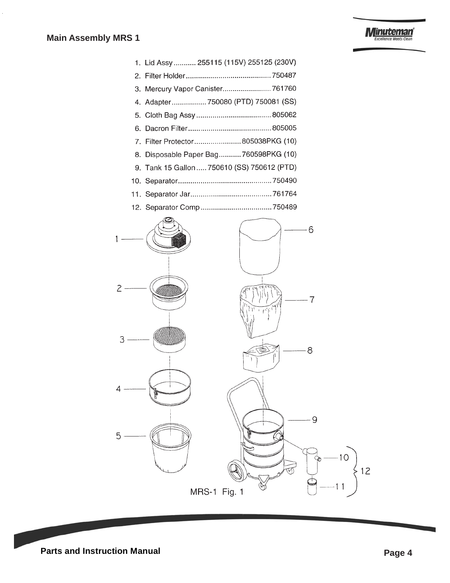- 1. Lid Assy ........... 255115 (115V) 255125 (230V)
- 
- 3. Mercury Vapor Canister.............................. 761760
- 4. Adapter................. 750080 (PTD) 750081 (SS)
- 
- 
- 7. Filter Protector..........................805038PKG (10)
- 8. Disposable Paper Bag...........760598PKG (10)
- 9. Tank 15 Gallon ..... 750610 (SS) 750612 (PTD)
- 
- 
- 

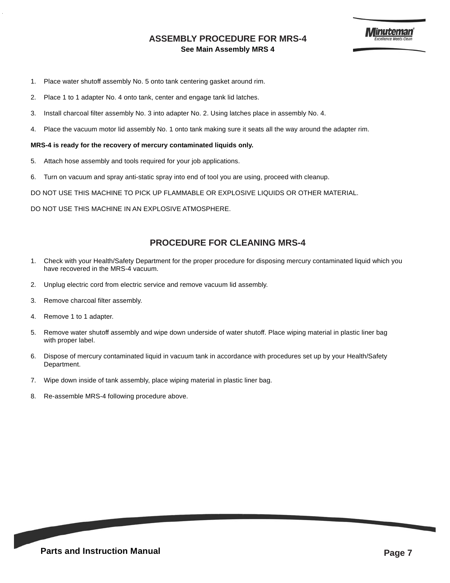## **ASSEMBLY PROCEDURE FOR MRS-4 See Main Assembly MRS 4**

- 1. Place water shutoff assembly No. 5 onto tank centering gasket around rim.
- 2. Place 1 to 1 adapter No. 4 onto tank, center and engage tank lid latches.
- 3. Install charcoal filter assembly No. 3 into adapter No. 2. Using latches place in assembly No. 4.
- 4. Place the vacuum motor lid assembly No. 1 onto tank making sure it seats all the way around the adapter rim.

#### **MRS-4 is ready for the recovery of mercury contaminated liquids only.**

- 5. Attach hose assembly and tools required for your job applications.
- 6. Turn on vacuum and spray anti-static spray into end of tool you are using, proceed with cleanup.

DO NOT USE THIS MACHINE TO PICK UP FLAMMABLE OR EXPLOSIVE LIQUIDS OR OTHER MATERIAL.

DO NOT USE THIS MACHINE IN AN EXPLOSIVE ATMOSPHERE.

# **PROCEDURE FOR CLEANING MRS-4**

- 1. Check with your Health/Safety Department for the proper procedure for disposing mercury contaminated liquid which you have recovered in the MRS-4 vacuum.
- 2. Unplug electric cord from electric service and remove vacuum lid assembly.
- 3. Remove charcoal filter assembly.
- 4. Remove 1 to 1 adapter.
- 5. Remove water shutoff assembly and wipe down underside of water shutoff. Place wiping material in plastic liner bag with proper label.
- 6. Dispose of mercury contaminated liquid in vacuum tank in accordance with procedures set up by your Health/Safety Department.
- 7. Wipe down inside of tank assembly, place wiping material in plastic liner bag.
- 8. Re-assemble MRS-4 following procedure above.

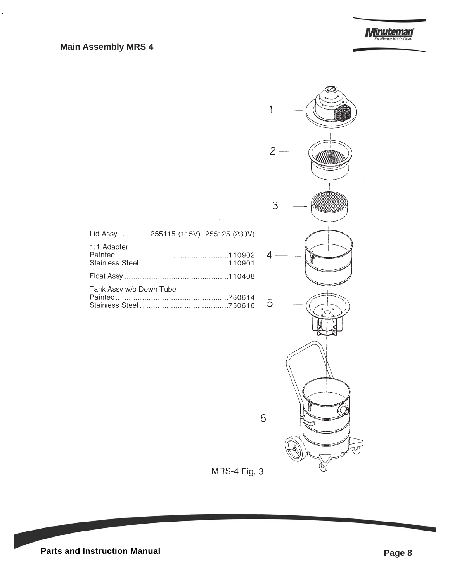|                                       | 2 |                      |
|---------------------------------------|---|----------------------|
|                                       | З |                      |
| Lid Assy  255115 (115V) 255125 (230V) |   |                      |
| 1:1 Adapter                           | 4 |                      |
|                                       |   |                      |
| Tank Assy w/o Down Tube               | 5 | $\ddot{\phantom{a}}$ |
|                                       |   |                      |
|                                       | Ć |                      |
|                                       |   |                      |
| MRS-4 Fig. 3                          |   |                      |

MRS-4 Fig. 3

**Parts and Instruction Manual Page 8 Page 8**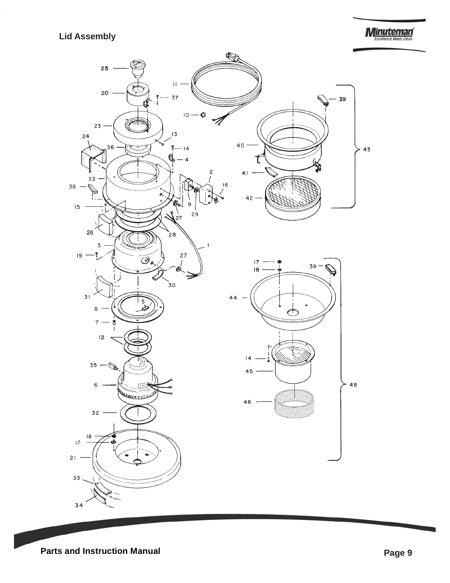# **Lid Assembly**

**Minuteman** 



**Parts and Instruction Manual Page 9 Page 9**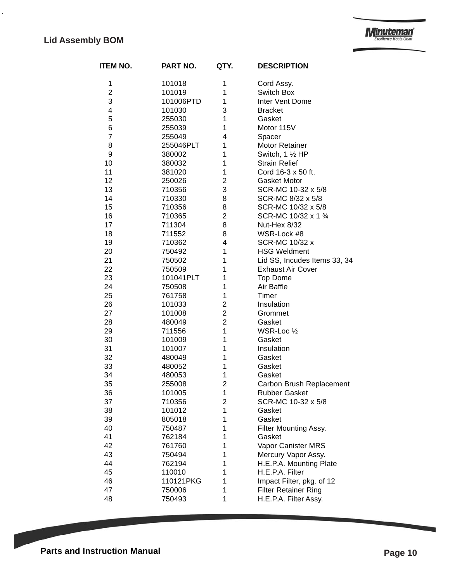$\hat{\mathcal{L}}$ 

| <b>ITEM NO.</b>         | PART NO.  | QTY.                    | <b>DESCRIPTION</b>           |
|-------------------------|-----------|-------------------------|------------------------------|
| 1                       | 101018    | 1                       | Cord Assy.                   |
| $\overline{\mathbf{c}}$ | 101019    | 1                       | Switch Box                   |
| 3                       | 101006PTD | 1                       | Inter Vent Dome              |
| 4                       | 101030    | 3                       | <b>Bracket</b>               |
| 5                       | 255030    | 1                       | Gasket                       |
| 6                       | 255039    | 1                       | Motor 115V                   |
| $\overline{7}$          | 255049    | 4                       | Spacer                       |
| 8                       | 255046PLT | 1                       | Motor Retainer               |
| 9                       | 380002    | 1                       | Switch, 1 1/2 HP             |
| 10                      | 380032    | $\mathbf 1$             | <b>Strain Relief</b>         |
| 11                      | 381020    | 1                       | Cord 16-3 x 50 ft.           |
| 12                      | 250026    | $\overline{c}$          | Gasket Motor                 |
| 13                      | 710356    | 3                       | SCR-MC 10-32 x 5/8           |
| 14                      | 710330    | 8                       | SCR-MC 8/32 x 5/8            |
| 15                      | 710356    | 8                       | SCR-MC 10/32 x 5/8           |
| 16                      | 710365    | $\overline{2}$          | SCR-MC 10/32 x 1 3/4         |
| 17                      | 711304    | 8                       | Nut-Hex 8/32                 |
| 18                      | 711552    | 8                       | WSR-Lock #8                  |
| 19                      | 710362    | 4                       | <b>SCR-MC 10/32 x</b>        |
| 20                      | 750492    | 1                       | <b>HSG Weldment</b>          |
| 21                      | 750502    | 1                       | Lid SS, Incudes Items 33, 34 |
| 22                      | 750509    | 1                       | <b>Exhaust Air Cover</b>     |
| 23                      | 101041PLT | 1                       | <b>Top Dome</b>              |
| 24                      | 750508    | $\mathbf 1$             | Air Baffle                   |
| 25                      | 761758    | 1                       | Timer                        |
| 26                      | 101033    | $\overline{\mathbf{c}}$ | Insulation                   |
| 27                      | 101008    | $\overline{c}$          | Grommet                      |
| 28                      | 480049    | $\overline{2}$          | Gasket                       |
| 29                      | 711556    | $\mathbf 1$             | WSR-Loc 1/2                  |
| 30                      | 101009    | 1                       | Gasket                       |
| 31                      | 101007    | 1                       | Insulation                   |
| 32                      | 480049    | 1                       | Gasket                       |
| 33                      | 480052    | 1                       | Gasket                       |
| 34                      | 480053    | 1                       | Gasket                       |
| 35                      | 255008    | 2                       | Carbon Brush Replacement     |
| 36                      | 101005    | 1                       | Rubber Gasket                |
| 37                      | 710356    | $\overline{c}$          | SCR-MC 10-32 x 5/8           |
| 38                      | 101012    | 1                       | Gasket                       |
| 39                      | 805018    | 1                       | Gasket                       |
| 40                      | 750487    | 1                       | Filter Mounting Assy.        |
| 41                      | 762184    | 1                       | Gasket                       |
| 42                      | 761760    | 1                       | Vapor Canister MRS           |
| 43                      | 750494    | 1                       | Mercury Vapor Assy.          |
| 44                      | 762194    | 1                       | H.E.P.A. Mounting Plate      |
| 45                      | 110010    | 1                       | H.E.P.A. Filter              |
| 46                      | 110121PKG | 1                       | Impact Filter, pkg. of 12    |
| 47                      | 750006    | 1                       | <b>Filter Retainer Ring</b>  |
| 48                      | 750493    | 1                       | H.E.P.A. Filter Assy.        |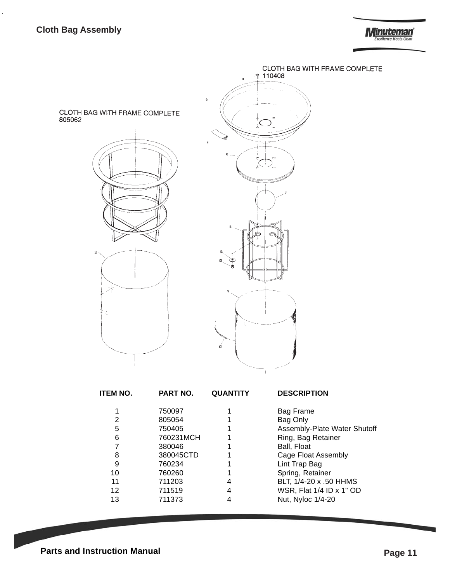$\hat{\boldsymbol{\epsilon}}$ 



| 〒 110408<br>$\mathbf{H}$                                                                                        | CLOTH BAG WITH FRAME COMPLETE                                                                                                                                                                                                     |
|-----------------------------------------------------------------------------------------------------------------|-----------------------------------------------------------------------------------------------------------------------------------------------------------------------------------------------------------------------------------|
|                                                                                                                 |                                                                                                                                                                                                                                   |
|                                                                                                                 |                                                                                                                                                                                                                                   |
|                                                                                                                 |                                                                                                                                                                                                                                   |
| 12<br>ক<br>13                                                                                                   |                                                                                                                                                                                                                                   |
| 9                                                                                                               |                                                                                                                                                                                                                                   |
| $\overline{10}$                                                                                                 |                                                                                                                                                                                                                                   |
| <b>QUANTITY</b>                                                                                                 | <b>DESCRIPTION</b>                                                                                                                                                                                                                |
| $\mathbf 1$<br>1<br>1<br>1<br>1<br>1<br>1<br>$\mathbf{1}$<br>$\overline{\mathbf{4}}$<br>$\overline{\mathbf{4}}$ | Bag Frame<br>Bag Only<br>Assembly-Plate Water Shutoff<br>Ring, Bag Retainer<br>Ball, Float<br>Cage Float Assembly<br>Lint Trap Bag<br>Spring, Retainer<br>BLT, 1/4-20 x .50 HHMS<br>WSR, Flat 1/4 ID x 1" OD<br>Nut, Nyloc 1/4-20 |
|                                                                                                                 | $\,$ 5 $\,$<br>$\mathbf{2}$<br>$\overline{\mathbf{4}}$                                                                                                                                                                            |

**Parts and Instruction Manual Page 11 Page 11**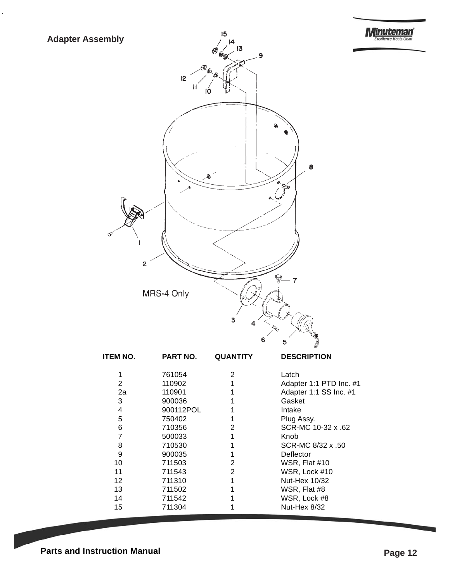



| ITEM NO. | <b>PART NO.</b> | <b>QUANTITY</b> | <b>DESCRIPTION</b>      |
|----------|-----------------|-----------------|-------------------------|
|          | 761054          | 2               | Latch                   |
| 2        | 110902          |                 | Adapter 1:1 PTD Inc. #1 |
| 2a       | 110901          |                 | Adapter 1:1 SS Inc. #1  |
| 3        | 900036          |                 | Gasket                  |
| 4        | 900112POL       |                 | Intake                  |
| 5        | 750402          |                 | Plug Assy.              |
| 6        | 710356          | 2               | SCR-MC 10-32 x .62      |
|          | 500033          |                 | Knob                    |
| 8        | 710530          |                 | SCR-MC 8/32 x .50       |
| 9        | 900035          |                 | Deflector               |
| 10       | 711503          | 2               | WSR, Flat #10           |
| 11       | 711543          | 2               | WSR, Lock #10           |
| 12       | 711310          |                 | Nut-Hex 10/32           |
| 13       | 711502          |                 | WSR, Flat #8            |
| 14       | 711542          |                 | WSR, Lock #8            |
| 15       | 711304          |                 | Nut-Hex 8/32            |

**Parts and Instruction Manual Page 12**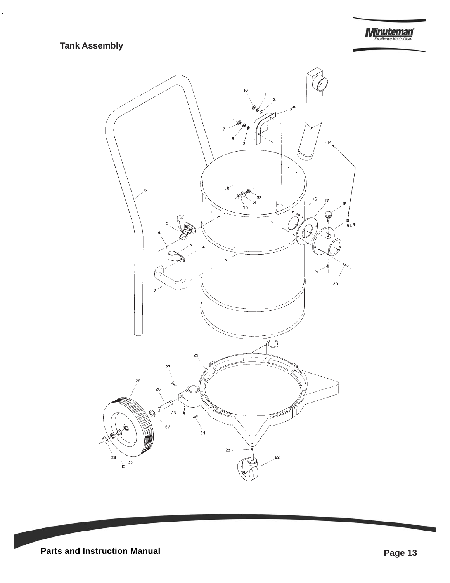**Tank Assembly**



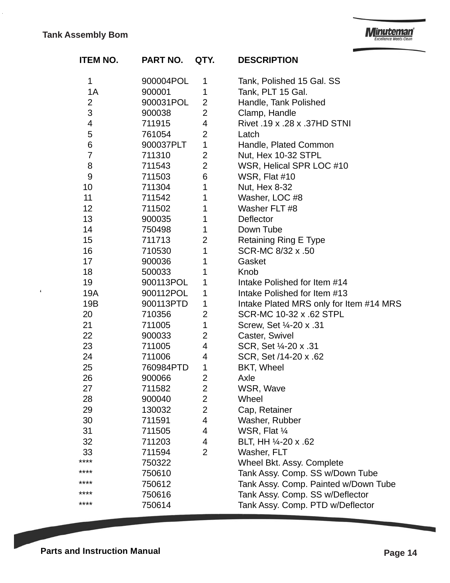$\hat{\boldsymbol{\gamma}}$ 

| <b>ITEM NO.</b> | PART NO.  | QTY.           | <b>DESCRIPTION</b>                      |
|-----------------|-----------|----------------|-----------------------------------------|
| 1               | 900004POL | 1              | Tank, Polished 15 Gal. SS               |
| 1A              | 900001    | 1              | Tank, PLT 15 Gal.                       |
| 2               | 900031POL | $\overline{c}$ | Handle, Tank Polished                   |
| 3               | 900038    | $\overline{2}$ | Clamp, Handle                           |
| 4               | 711915    | 4              | Rivet .19 x .28 x .37HD STNI            |
| 5               | 761054    | $\overline{2}$ | Latch                                   |
| $\,$ 6 $\,$     | 900037PLT | 1              | Handle, Plated Common                   |
| $\overline{7}$  | 711310    | $\overline{2}$ | Nut, Hex 10-32 STPL                     |
| 8               | 711543    | $\overline{2}$ | WSR, Helical SPR LOC #10                |
| $9$             | 711503    | 6              | WSR, Flat #10                           |
| 10              | 711304    | 1              | Nut, Hex 8-32                           |
| 11              | 711542    | 1              | Washer, LOC #8                          |
| 12              | 711502    | 1              | Washer FLT #8                           |
| 13              | 900035    | 1              | Deflector                               |
| 14              | 750498    | 1              | Down Tube                               |
| 15              | 711713    | $\overline{2}$ | <b>Retaining Ring E Type</b>            |
| 16              | 710530    | 1              | SCR-MC 8/32 x .50                       |
| 17              | 900036    | 1              | Gasket                                  |
| 18              | 500033    | 1              | Knob                                    |
| 19              | 900113POL | 1              | Intake Polished for Item #14            |
| 19A             | 900112POL | 1              | Intake Polished for Item #13            |
| 19B             | 900113PTD | 1              | Intake Plated MRS only for Item #14 MRS |
| 20              | 710356    | $\overline{2}$ | SCR-MC 10-32 x .62 STPL                 |
| 21              | 711005    | 1              | Screw, Set 1/4-20 x .31                 |
| 22              | 900033    | $\overline{2}$ | Caster, Swivel                          |
| 23              | 711005    | 4              | SCR, Set 1/4-20 x .31                   |
| 24              | 711006    | 4              | SCR, Set /14-20 x .62                   |
| 25              | 760984PTD | 1              | BKT, Wheel                              |
| 26              | 900066    | $\overline{2}$ | Axle                                    |
| 27              | 711582    | 2              | WSR, Wave                               |
| 28              | 900040    | $\overline{2}$ | Wheel                                   |
| 29              | 130032    | $\overline{2}$ | Cap, Retainer                           |
| 30              | 711591    | 4              | Washer, Rubber                          |
| 31              | 711505    | 4              | WSR, Flat 1/4                           |
| 32              | 711203    | 4              | BLT, HH 1/4-20 x .62                    |
| 33              | 711594    | $\overline{2}$ | Washer, FLT                             |
| ****            | 750322    |                | Wheel Bkt. Assy. Complete               |
| ****            | 750610    |                | Tank Assy. Comp. SS w/Down Tube         |
| ****            | 750612    |                | Tank Assy. Comp. Painted w/Down Tube    |
| ****            | 750616    |                | Tank Assy. Comp. SS w/Deflector         |
| ****            | 750614    |                | Tank Assy. Comp. PTD w/Deflector        |